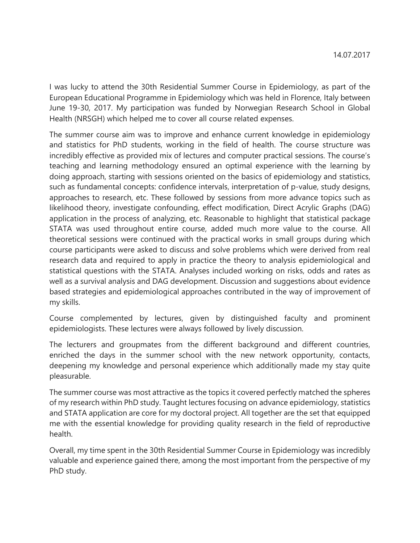I was lucky to attend the 30th Residential Summer Course in Epidemiology, as part of the European Educational Programme in Epidemiology which was held in Florence, Italy between June 19-30, 2017. My participation was funded by Norwegian Research School in Global Health (NRSGH) which helped me to cover all course related expenses.

The summer course aim was to improve and enhance current knowledge in epidemiology and statistics for PhD students, working in the field of health. The course structure was incredibly effective as provided mix of lectures and computer practical sessions. The course's teaching and learning methodology ensured an optimal experience with the learning by doing approach, starting with sessions oriented on the basics of epidemiology and statistics, such as fundamental concepts: confidence intervals, interpretation of p-value, study designs, approaches to research, etc. These followed by sessions from more advance topics such as likelihood theory, investigate confounding, effect modification, Direct Acrylic Graphs (DAG) application in the process of analyzing, etc. Reasonable to highlight that statistical package STATA was used throughout entire course, added much more value to the course. All theoretical sessions were continued with the practical works in small groups during which course participants were asked to discuss and solve problems which were derived from real research data and required to apply in practice the theory to analysis epidemiological and statistical questions with the STATA. Analyses included working on risks, odds and rates as well as a survival analysis and DAG development. Discussion and suggestions about evidence based strategies and epidemiological approaches contributed in the way of improvement of my skills.

Course complemented by lectures, given by distinguished faculty and prominent epidemiologists. These lectures were always followed by lively discussion.

The lecturers and groupmates from the different background and different countries, enriched the days in the summer school with the new network opportunity, contacts, deepening my knowledge and personal experience which additionally made my stay quite pleasurable.

The summer course was most attractive as the topics it covered perfectly matched the spheres of my research within PhD study. Taught lectures focusing on advance epidemiology, statistics and STATA application are core for my doctoral project. All together are the set that equipped me with the essential knowledge for providing quality research in the field of reproductive health.

Overall, my time spent in the 30th Residential Summer Course in Epidemiology was incredibly valuable and experience gained there, among the most important from the perspective of my PhD study.